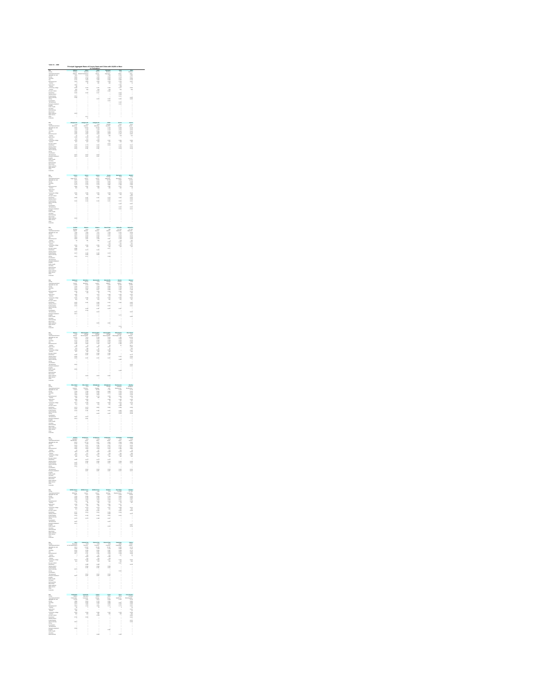|                                                                                                                      | المستقادة والمسائل والمستقاة والمستقاة والمستقاة والمستقاة والمستقاة والمستقاة والمستقاة والمستقاة المستقاة والمستقاة والمستقاة والمستقاة والمستقاة والمستقاة والمستقاة والمستقاة والمستقاة والمستقاة والمستقاة والمستقاة والم | اللافقة فلاستنسط المستقطات والمسابر والساريون والساريون الأسرائيين والاستقادات والمستقطات والسائر والساريات المستقطات والمستقطات |  |  |
|----------------------------------------------------------------------------------------------------------------------|--------------------------------------------------------------------------------------------------------------------------------------------------------------------------------------------------------------------------------|----------------------------------------------------------------------------------------------------------------------------------|--|--|
|                                                                                                                      |                                                                                                                                                                                                                                |                                                                                                                                  |  |  |
|                                                                                                                      |                                                                                                                                                                                                                                |                                                                                                                                  |  |  |
|                                                                                                                      |                                                                                                                                                                                                                                |                                                                                                                                  |  |  |
|                                                                                                                      |                                                                                                                                                                                                                                |                                                                                                                                  |  |  |
|                                                                                                                      |                                                                                                                                                                                                                                |                                                                                                                                  |  |  |
|                                                                                                                      |                                                                                                                                                                                                                                |                                                                                                                                  |  |  |
|                                                                                                                      |                                                                                                                                                                                                                                |                                                                                                                                  |  |  |
|                                                                                                                      |                                                                                                                                                                                                                                |                                                                                                                                  |  |  |
|                                                                                                                      |                                                                                                                                                                                                                                |                                                                                                                                  |  |  |
|                                                                                                                      |                                                                                                                                                                                                                                |                                                                                                                                  |  |  |
|                                                                                                                      |                                                                                                                                                                                                                                |                                                                                                                                  |  |  |
|                                                                                                                      |                                                                                                                                                                                                                                |                                                                                                                                  |  |  |
|                                                                                                                      |                                                                                                                                                                                                                                |                                                                                                                                  |  |  |
|                                                                                                                      |                                                                                                                                                                                                                                |                                                                                                                                  |  |  |
|                                                                                                                      |                                                                                                                                                                                                                                |                                                                                                                                  |  |  |
|                                                                                                                      |                                                                                                                                                                                                                                |                                                                                                                                  |  |  |
|                                                                                                                      |                                                                                                                                                                                                                                |                                                                                                                                  |  |  |
|                                                                                                                      |                                                                                                                                                                                                                                |                                                                                                                                  |  |  |
|                                                                                                                      |                                                                                                                                                                                                                                |                                                                                                                                  |  |  |
|                                                                                                                      |                                                                                                                                                                                                                                |                                                                                                                                  |  |  |
|                                                                                                                      |                                                                                                                                                                                                                                |                                                                                                                                  |  |  |
|                                                                                                                      |                                                                                                                                                                                                                                |                                                                                                                                  |  |  |
|                                                                                                                      |                                                                                                                                                                                                                                |                                                                                                                                  |  |  |
| PHPRANCE THE REAL AND DESCRIPTION OF THE REAL PROPERTY AND DESCRIPTION AND DESCRIPTION OF A PROPERTY AND DESCRIPTION | 1999 1999 1999 1999 1999 1999 1999 1999 1999 1999 1999 1999 1999 1999 1999 1999 1999 1999 1999 1999 1999 1999 1                                                                                                                |                                                                                                                                  |  |  |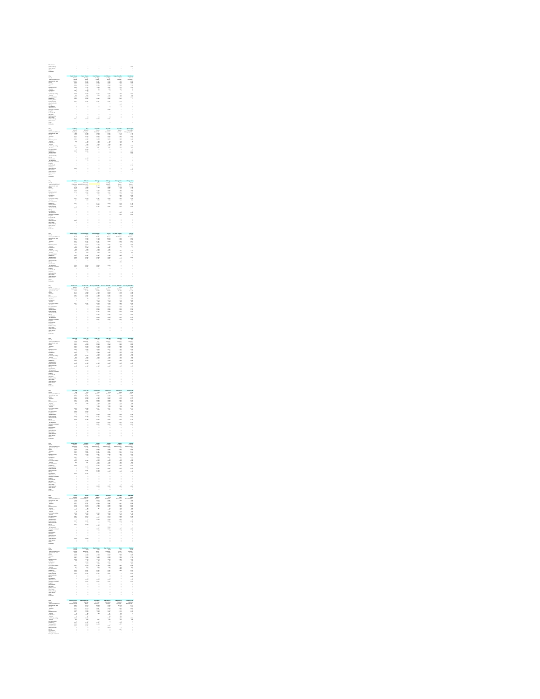|                                                                                             |                                                                                                                                                                                                                                  |                                                                                                      |                                                                                                                                                                                                                                | Í |
|---------------------------------------------------------------------------------------------|----------------------------------------------------------------------------------------------------------------------------------------------------------------------------------------------------------------------------------|------------------------------------------------------------------------------------------------------|--------------------------------------------------------------------------------------------------------------------------------------------------------------------------------------------------------------------------------|---|
|                                                                                             |                                                                                                                                                                                                                                  |                                                                                                      |                                                                                                                                                                                                                                |   |
|                                                                                             |                                                                                                                                                                                                                                  |                                                                                                      |                                                                                                                                                                                                                                |   |
|                                                                                             |                                                                                                                                                                                                                                  |                                                                                                      |                                                                                                                                                                                                                                |   |
|                                                                                             |                                                                                                                                                                                                                                  |                                                                                                      |                                                                                                                                                                                                                                |   |
|                                                                                             |                                                                                                                                                                                                                                  |                                                                                                      |                                                                                                                                                                                                                                |   |
| TEP TERMINA TERMINANYA "TEPP TERMINANYA" TERMINANYA "TERMINANYA" TERMINANYA "TERMINANYA" TE | $\alpha$ , and the complete states of the complete states of the contract of the contract of the contract of the contract of the contract of the contract of the contract of the contract of the contract of the contract of the | 【《金融集》集》第1992年12月12日,1993年,《唐唐·霍福通通道》第1992年12月22日,《唐唐·李明》第1992年12月22日,《唐·巴利·马利·马利·马利·马利·马利·马利······· |                                                                                                                                                                                                                                |   |
|                                                                                             |                                                                                                                                                                                                                                  |                                                                                                      |                                                                                                                                                                                                                                |   |
|                                                                                             |                                                                                                                                                                                                                                  |                                                                                                      |                                                                                                                                                                                                                                |   |
|                                                                                             |                                                                                                                                                                                                                                  |                                                                                                      |                                                                                                                                                                                                                                |   |
|                                                                                             |                                                                                                                                                                                                                                  |                                                                                                      |                                                                                                                                                                                                                                |   |
|                                                                                             |                                                                                                                                                                                                                                  |                                                                                                      |                                                                                                                                                                                                                                |   |
|                                                                                             |                                                                                                                                                                                                                                  |                                                                                                      |                                                                                                                                                                                                                                |   |
|                                                                                             |                                                                                                                                                                                                                                  |                                                                                                      |                                                                                                                                                                                                                                |   |
|                                                                                             |                                                                                                                                                                                                                                  |                                                                                                      |                                                                                                                                                                                                                                |   |
|                                                                                             |                                                                                                                                                                                                                                  |                                                                                                      |                                                                                                                                                                                                                                |   |
|                                                                                             |                                                                                                                                                                                                                                  |                                                                                                      |                                                                                                                                                                                                                                |   |
|                                                                                             |                                                                                                                                                                                                                                  |                                                                                                      |                                                                                                                                                                                                                                |   |
|                                                                                             |                                                                                                                                                                                                                                  |                                                                                                      |                                                                                                                                                                                                                                |   |
|                                                                                             |                                                                                                                                                                                                                                  |                                                                                                      |                                                                                                                                                                                                                                |   |
|                                                                                             |                                                                                                                                                                                                                                  |                                                                                                      |                                                                                                                                                                                                                                |   |
|                                                                                             |                                                                                                                                                                                                                                  |                                                                                                      |                                                                                                                                                                                                                                |   |
|                                                                                             |                                                                                                                                                                                                                                  |                                                                                                      |                                                                                                                                                                                                                                |   |
|                                                                                             |                                                                                                                                                                                                                                  |                                                                                                      |                                                                                                                                                                                                                                |   |
|                                                                                             |                                                                                                                                                                                                                                  |                                                                                                      |                                                                                                                                                                                                                                |   |
|                                                                                             |                                                                                                                                                                                                                                  |                                                                                                      |                                                                                                                                                                                                                                |   |
|                                                                                             |                                                                                                                                                                                                                                  |                                                                                                      |                                                                                                                                                                                                                                |   |
|                                                                                             |                                                                                                                                                                                                                                  |                                                                                                      |                                                                                                                                                                                                                                |   |
|                                                                                             |                                                                                                                                                                                                                                  |                                                                                                      |                                                                                                                                                                                                                                |   |
|                                                                                             |                                                                                                                                                                                                                                  |                                                                                                      |                                                                                                                                                                                                                                |   |
|                                                                                             |                                                                                                                                                                                                                                  |                                                                                                      |                                                                                                                                                                                                                                |   |
|                                                                                             |                                                                                                                                                                                                                                  |                                                                                                      |                                                                                                                                                                                                                                |   |
|                                                                                             |                                                                                                                                                                                                                                  |                                                                                                      |                                                                                                                                                                                                                                |   |
|                                                                                             |                                                                                                                                                                                                                                  |                                                                                                      |                                                                                                                                                                                                                                |   |
|                                                                                             |                                                                                                                                                                                                                                  |                                                                                                      |                                                                                                                                                                                                                                |   |
|                                                                                             |                                                                                                                                                                                                                                  |                                                                                                      |                                                                                                                                                                                                                                |   |
|                                                                                             |                                                                                                                                                                                                                                  |                                                                                                      |                                                                                                                                                                                                                                |   |
|                                                                                             |                                                                                                                                                                                                                                  |                                                                                                      |                                                                                                                                                                                                                                |   |
|                                                                                             |                                                                                                                                                                                                                                  |                                                                                                      |                                                                                                                                                                                                                                |   |
|                                                                                             |                                                                                                                                                                                                                                  |                                                                                                      |                                                                                                                                                                                                                                |   |
|                                                                                             |                                                                                                                                                                                                                                  |                                                                                                      |                                                                                                                                                                                                                                |   |
|                                                                                             |                                                                                                                                                                                                                                  |                                                                                                      |                                                                                                                                                                                                                                |   |
|                                                                                             |                                                                                                                                                                                                                                  |                                                                                                      |                                                                                                                                                                                                                                |   |
|                                                                                             |                                                                                                                                                                                                                                  |                                                                                                      |                                                                                                                                                                                                                                |   |
|                                                                                             |                                                                                                                                                                                                                                  |                                                                                                      |                                                                                                                                                                                                                                |   |
|                                                                                             |                                                                                                                                                                                                                                  |                                                                                                      |                                                                                                                                                                                                                                |   |
|                                                                                             |                                                                                                                                                                                                                                  |                                                                                                      |                                                                                                                                                                                                                                |   |
|                                                                                             |                                                                                                                                                                                                                                  |                                                                                                      |                                                                                                                                                                                                                                |   |
|                                                                                             |                                                                                                                                                                                                                                  |                                                                                                      |                                                                                                                                                                                                                                |   |
|                                                                                             |                                                                                                                                                                                                                                  |                                                                                                      |                                                                                                                                                                                                                                |   |
|                                                                                             |                                                                                                                                                                                                                                  |                                                                                                      |                                                                                                                                                                                                                                |   |
|                                                                                             |                                                                                                                                                                                                                                  |                                                                                                      |                                                                                                                                                                                                                                |   |
|                                                                                             |                                                                                                                                                                                                                                  |                                                                                                      |                                                                                                                                                                                                                                |   |
|                                                                                             |                                                                                                                                                                                                                                  |                                                                                                      |                                                                                                                                                                                                                                |   |
|                                                                                             |                                                                                                                                                                                                                                  |                                                                                                      |                                                                                                                                                                                                                                |   |
|                                                                                             |                                                                                                                                                                                                                                  |                                                                                                      |                                                                                                                                                                                                                                |   |
|                                                                                             |                                                                                                                                                                                                                                  |                                                                                                      |                                                                                                                                                                                                                                |   |
|                                                                                             |                                                                                                                                                                                                                                  |                                                                                                      |                                                                                                                                                                                                                                |   |
|                                                                                             |                                                                                                                                                                                                                                  |                                                                                                      |                                                                                                                                                                                                                                |   |
|                                                                                             | 1989年9月1999年1999年1月1日,1999年1999年19月19日,1999年19月19日,1999年19月19日,1999年10月19日,1999年10月19日,1999年10月19日,1999年10月19日                                                                                                                   |                                                                                                      | The contribution of property and the contribution of the contribution of the contribution of the contribution of the contribution of the contribution of the contribution of the contribution of the contribution of the contr |   |
|                                                                                             |                                                                                                                                                                                                                                  |                                                                                                      |                                                                                                                                                                                                                                |   |
|                                                                                             |                                                                                                                                                                                                                                  |                                                                                                      |                                                                                                                                                                                                                                |   |
|                                                                                             |                                                                                                                                                                                                                                  |                                                                                                      |                                                                                                                                                                                                                                |   |
|                                                                                             |                                                                                                                                                                                                                                  |                                                                                                      |                                                                                                                                                                                                                                |   |
|                                                                                             |                                                                                                                                                                                                                                  |                                                                                                      |                                                                                                                                                                                                                                |   |
|                                                                                             |                                                                                                                                                                                                                                  |                                                                                                      |                                                                                                                                                                                                                                |   |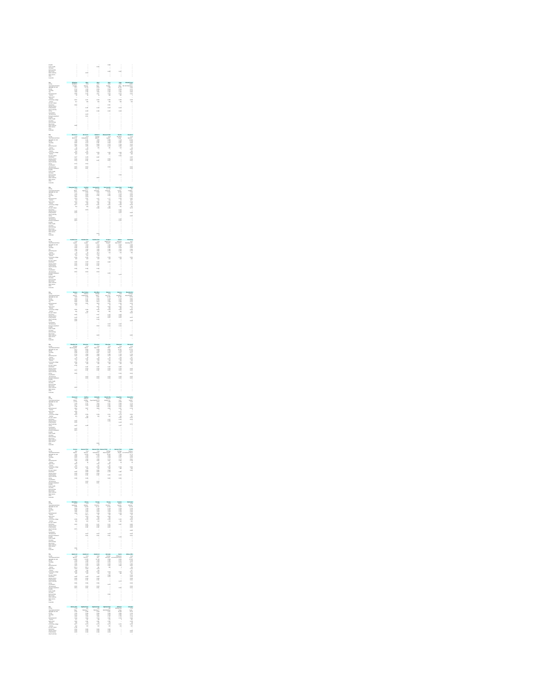|                                                     | والمسماط والمستمر والمسماط والمستقار والمسموعة والمسموعة والمسموع والمستقار والمستقار والمسموع والمسموع والمسموع والمستقار والمسموع والمسموع والمسموع والمسموع والمسموع والمسموع والمسموع والمسموع والمسموع والمسموع والمسموع |  |  |
|-----------------------------------------------------|-------------------------------------------------------------------------------------------------------------------------------------------------------------------------------------------------------------------------------|--|--|
|                                                     |                                                                                                                                                                                                                               |  |  |
|                                                     |                                                                                                                                                                                                                               |  |  |
|                                                     |                                                                                                                                                                                                                               |  |  |
|                                                     |                                                                                                                                                                                                                               |  |  |
|                                                     |                                                                                                                                                                                                                               |  |  |
|                                                     |                                                                                                                                                                                                                               |  |  |
| <b>ALL CONFIDENTIAL CONTINUES IN THE CONFIDENTI</b> |                                                                                                                                                                                                                               |  |  |
|                                                     |                                                                                                                                                                                                                               |  |  |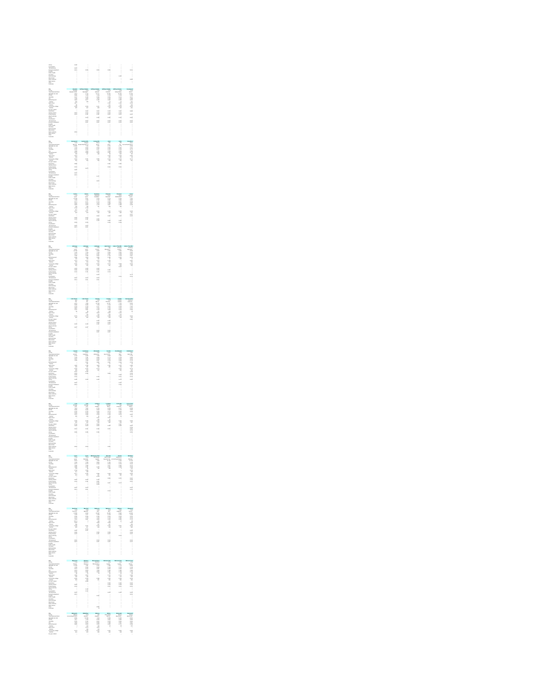|                                                                                                                |                                                                                                                                                                                                                                  |                                                                                                                                                                                                                                                                                                                                                                       | <b>1999</b>                                                                                                                                                                                                                                                                                                                 | $\frac{1}{2}$                                                                                                                                                                                                                  |
|----------------------------------------------------------------------------------------------------------------|----------------------------------------------------------------------------------------------------------------------------------------------------------------------------------------------------------------------------------|-----------------------------------------------------------------------------------------------------------------------------------------------------------------------------------------------------------------------------------------------------------------------------------------------------------------------------------------------------------------------|-----------------------------------------------------------------------------------------------------------------------------------------------------------------------------------------------------------------------------------------------------------------------------------------------------------------------------|--------------------------------------------------------------------------------------------------------------------------------------------------------------------------------------------------------------------------------|
|                                                                                                                |                                                                                                                                                                                                                                  |                                                                                                                                                                                                                                                                                                                                                                       |                                                                                                                                                                                                                                                                                                                             |                                                                                                                                                                                                                                |
|                                                                                                                | $\ldots$ . The constitution of the construction of the construction of the construction of the construction of the construction of the construction of the construction of the construction of the construction of the construct |                                                                                                                                                                                                                                                                                                                                                                       |                                                                                                                                                                                                                                                                                                                             | للمستحقة والمستنب والمسام والمستعمل المستقار والمستنفي والمستنفي والمستنفي والمستقار والمستنفي المستنفي والمستنفي والمستنفي والمستنفي والمستنفي والمستنفي والمستنفي والمستنفي والمستنفي والمستنفي والمستنفي والمستنفي والمستنف |
|                                                                                                                |                                                                                                                                                                                                                                  |                                                                                                                                                                                                                                                                                                                                                                       |                                                                                                                                                                                                                                                                                                                             |                                                                                                                                                                                                                                |
|                                                                                                                |                                                                                                                                                                                                                                  | <b>11</b> $\frac{1}{2}$ <b>12</b> $\frac{1}{2}$ <b>12</b> $\frac{1}{2}$ <b>12</b> $\frac{1}{2}$ <b>12</b> $\frac{1}{2}$ <b>12</b> $\frac{1}{2}$ <b>12</b> $\frac{1}{2}$ <b>12</b> $\frac{1}{2}$ <b>12</b> $\frac{1}{2}$ <b>12</b> $\frac{1}{2}$ <b>12</b> $\frac{1}{2}$ <b>12</b> $\frac{1}{2}$ <b>12</b> $\frac{1}{2}$ <b>12</b> $\frac{1}{2}$ <b>12</b> $\frac{1}{$ | <b>A</b> $\frac{1}{2}$ $\frac{1}{2}$ $\frac{1}{2}$ $\frac{1}{2}$ $\frac{1}{2}$ $\frac{1}{2}$ $\frac{1}{2}$ $\frac{1}{2}$ $\frac{1}{2}$ $\frac{1}{2}$ $\frac{1}{2}$ $\frac{1}{2}$ $\frac{1}{2}$ $\frac{1}{2}$ $\frac{1}{2}$ $\frac{1}{2}$ $\frac{1}{2}$ $\frac{1}{2}$ $\frac{1}{2}$ $\frac{1}{2}$ $\frac{1}{2}$ $\frac{1}{2$ |                                                                                                                                                                                                                                |
|                                                                                                                |                                                                                                                                                                                                                                  |                                                                                                                                                                                                                                                                                                                                                                       |                                                                                                                                                                                                                                                                                                                             |                                                                                                                                                                                                                                |
|                                                                                                                |                                                                                                                                                                                                                                  |                                                                                                                                                                                                                                                                                                                                                                       |                                                                                                                                                                                                                                                                                                                             |                                                                                                                                                                                                                                |
|                                                                                                                |                                                                                                                                                                                                                                  |                                                                                                                                                                                                                                                                                                                                                                       |                                                                                                                                                                                                                                                                                                                             |                                                                                                                                                                                                                                |
|                                                                                                                |                                                                                                                                                                                                                                  |                                                                                                                                                                                                                                                                                                                                                                       |                                                                                                                                                                                                                                                                                                                             |                                                                                                                                                                                                                                |
|                                                                                                                |                                                                                                                                                                                                                                  |                                                                                                                                                                                                                                                                                                                                                                       |                                                                                                                                                                                                                                                                                                                             |                                                                                                                                                                                                                                |
| A TALAH JAWA YA TANGAN JAMAN JAWA SA TA TANGAN TANGGAL TANGGAL TANGGAL TANGGAL TANGGAL TANGGAL TANGGAL TANGGAL | . The contribution of the contribution of the contribution of the contribution of the contribution of the contribution of the contribution of the contribution of the contribution of the contribution of the contribution of    |                                                                                                                                                                                                                                                                                                                                                                       | at a model communication of community and a model of the contract of the contract of the contract of the contract of the contract of the contract of the contract of the contract of the contract of the contract of the contr                                                                                              |                                                                                                                                                                                                                                |
|                                                                                                                |                                                                                                                                                                                                                                  |                                                                                                                                                                                                                                                                                                                                                                       |                                                                                                                                                                                                                                                                                                                             |                                                                                                                                                                                                                                |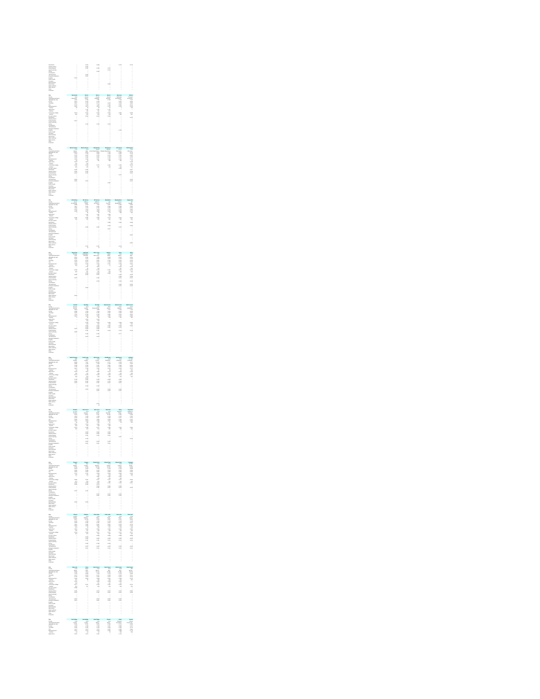|                                                                                                                |                                                                                                                                                                                                                                | $\frac{1}{2}$                                                                                                  |                                                                                                                |                                                                                                 |                                                                                                                                                                                                                                | $\frac{1}{2}$ |
|----------------------------------------------------------------------------------------------------------------|--------------------------------------------------------------------------------------------------------------------------------------------------------------------------------------------------------------------------------|----------------------------------------------------------------------------------------------------------------|----------------------------------------------------------------------------------------------------------------|-------------------------------------------------------------------------------------------------|--------------------------------------------------------------------------------------------------------------------------------------------------------------------------------------------------------------------------------|---------------|
|                                                                                                                |                                                                                                                                                                                                                                |                                                                                                                |                                                                                                                |                                                                                                 |                                                                                                                                                                                                                                |               |
|                                                                                                                |                                                                                                                                                                                                                                |                                                                                                                |                                                                                                                |                                                                                                 | 1988-1988 - 1989 - 1988 - 1988 - 1988 - 1989 - 1989 - 1989 - 1989 - 1989 - 1989 - 1989 - 1989 - 1989 - 1989 -                                                                                                                  |               |
| e a start of the start of the start of the start of the start of the start of the start of the start of the st |                                                                                                                                                                                                                                |                                                                                                                |                                                                                                                |                                                                                                 |                                                                                                                                                                                                                                |               |
|                                                                                                                | Assistant Property (1998) 1999 - 1999 - 1999 - 1999 - 1999 - 1999 - 1999 - 1999 - 1999 - 1999 - 1999 - 1999 -                                                                                                                  |                                                                                                                |                                                                                                                |                                                                                                 |                                                                                                                                                                                                                                |               |
|                                                                                                                |                                                                                                                                                                                                                                |                                                                                                                | 1970年,1970年,1971年,1972年,1972年,1972年,1972年,1972年,1972年,1972年,1972年,1972年,1972年,1972年,1972年,1972年,1972           | <b>1980</b><br>1980: 1980 - 1980 - 1980 - 1980 - 1980<br>1980: 1980 - 1980 - 1980 - 1980 - 1980 |                                                                                                                                                                                                                                |               |
|                                                                                                                | 1920年,1922年,1922年,1922年,1922年,1922年,1922年,1922年,1922年,1922年,1922年,1922年,1922年,1922年,1922年,1922年,1922年,1922年,19<br>第222章 1022年,1922年,1922年,1922年,1922年,1922年,1922年,1922年,1922年,1922年,1922年,1922年,192                            |                                                                                                                |                                                                                                                |                                                                                                 |                                                                                                                                                                                                                                |               |
|                                                                                                                |                                                                                                                                                                                                                                |                                                                                                                |                                                                                                                |                                                                                                 |                                                                                                                                                                                                                                |               |
|                                                                                                                |                                                                                                                                                                                                                                |                                                                                                                |                                                                                                                |                                                                                                 |                                                                                                                                                                                                                                |               |
|                                                                                                                | 【4】 《 10】 《 10】 《 10】 《 10】 《 10】 《 10】 《 10】 《 10】 《 10】 《 10】 《 10】 《 10】 《 10】 《 10】 《 10】 《 10】 《 10】 《 10<br>【● 】 《 10】 《 10】 《 10】 《 10】 《 10】 《 10】 《 10】 《 10】 《 10】 《 10】 《 10】 《 10】 《 10】 《 10】 《 10】 《 10】 《 10】 《 | Pagasta sesai rathin a matamatan gara sesai dan matamatan ang matamatan ang matamatan ang matamatan ang matama |                                                                                                                |                                                                                                 |                                                                                                                                                                                                                                |               |
|                                                                                                                | 1970年,1972年,1972年,1972年,1972年,1972年,1972年,1972年,1972年,1972年,1972年,1972年,1972年,1972年,1972年,1972年,1972                                                                                                                           |                                                                                                                | Falissier Barnett auf der Stehen Berger auf den Berger aufgegen der Anten der Antigen aufgegen der Antigen and |                                                                                                 | STATISTIC CONTRACTOR CONTRACTORS AND CONTRACTORS OF A STATISTICS OF A STATISTICS OF A STATISTICS OF A STATISTICS OF A STATISTICS OF A STATISTICS OF A STATISTICS OF A STATISTICS OF A STATISTICS OF A STATISTICS OF A STATISTI |               |
|                                                                                                                |                                                                                                                                                                                                                                | 111333                                                                                                         |                                                                                                                |                                                                                                 |                                                                                                                                                                                                                                |               |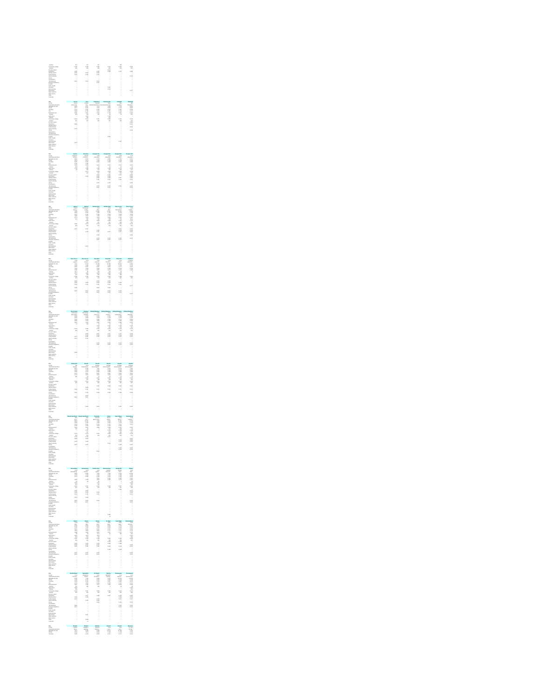|                                                                                                                |                                                                                                                 |                                                                                                      | <b>1989</b><br>1989 - Paul Barnett, paul autor autor autor autor autor autor autor autor autor autor autor autor autor autor au<br>1980 - Paul Barnett, paul autor autor autor autor autor autor autor autor autor autor autor autor auto | <b><i><u><i><u><b></b></u></i></u></i></b> |  |
|----------------------------------------------------------------------------------------------------------------|-----------------------------------------------------------------------------------------------------------------|------------------------------------------------------------------------------------------------------|-------------------------------------------------------------------------------------------------------------------------------------------------------------------------------------------------------------------------------------------|--------------------------------------------|--|
|                                                                                                                |                                                                                                                 |                                                                                                      |                                                                                                                                                                                                                                           |                                            |  |
|                                                                                                                |                                                                                                                 | 1988年1989年(1988年)1月11日) - 1月11日) - 1月11日) - 1月11日) - 1月11日) - 1月11日) - 1月11日) - 1月11日) - 1月11日 - 1月1 |                                                                                                                                                                                                                                           |                                            |  |
|                                                                                                                |                                                                                                                 |                                                                                                      |                                                                                                                                                                                                                                           |                                            |  |
|                                                                                                                |                                                                                                                 |                                                                                                      |                                                                                                                                                                                                                                           |                                            |  |
|                                                                                                                |                                                                                                                 |                                                                                                      |                                                                                                                                                                                                                                           |                                            |  |
|                                                                                                                |                                                                                                                 |                                                                                                      |                                                                                                                                                                                                                                           |                                            |  |
|                                                                                                                |                                                                                                                 |                                                                                                      |                                                                                                                                                                                                                                           |                                            |  |
|                                                                                                                |                                                                                                                 |                                                                                                      |                                                                                                                                                                                                                                           |                                            |  |
|                                                                                                                |                                                                                                                 |                                                                                                      |                                                                                                                                                                                                                                           |                                            |  |
|                                                                                                                |                                                                                                                 |                                                                                                      |                                                                                                                                                                                                                                           |                                            |  |
|                                                                                                                |                                                                                                                 |                                                                                                      |                                                                                                                                                                                                                                           |                                            |  |
|                                                                                                                |                                                                                                                 |                                                                                                      |                                                                                                                                                                                                                                           |                                            |  |
|                                                                                                                |                                                                                                                 |                                                                                                      |                                                                                                                                                                                                                                           |                                            |  |
| THE REAL STRAIGHT AND REAL STRAIGHT AND REAL STRAIGHT AND REAL STRAIGHT AND REAL STRAIGHT AND REAL STRAIGHT AN | and and the contribution of the contribution of the contribution of the contribution of the contribution of the |                                                                                                      |                                                                                                                                                                                                                                           |                                            |  |
|                                                                                                                |                                                                                                                 |                                                                                                      |                                                                                                                                                                                                                                           |                                            |  |
|                                                                                                                |                                                                                                                 |                                                                                                      |                                                                                                                                                                                                                                           |                                            |  |
|                                                                                                                |                                                                                                                 |                                                                                                      |                                                                                                                                                                                                                                           |                                            |  |
|                                                                                                                |                                                                                                                 |                                                                                                      |                                                                                                                                                                                                                                           |                                            |  |
|                                                                                                                |                                                                                                                 |                                                                                                      |                                                                                                                                                                                                                                           |                                            |  |
|                                                                                                                |                                                                                                                 |                                                                                                      |                                                                                                                                                                                                                                           |                                            |  |
| THE REAL PROPERTY OF A PROPERTY THAN HE REAL PROPERTY AND ANNOUNCEMENT OF A PARTY OF A PARTY OF A PARTY OF A P | BOOK ALLEL CONTROL CONSUMER CONTROL CONTROL CONTROL CONTROL CONTROL CONTROL                                     |                                                                                                      |                                                                                                                                                                                                                                           |                                            |  |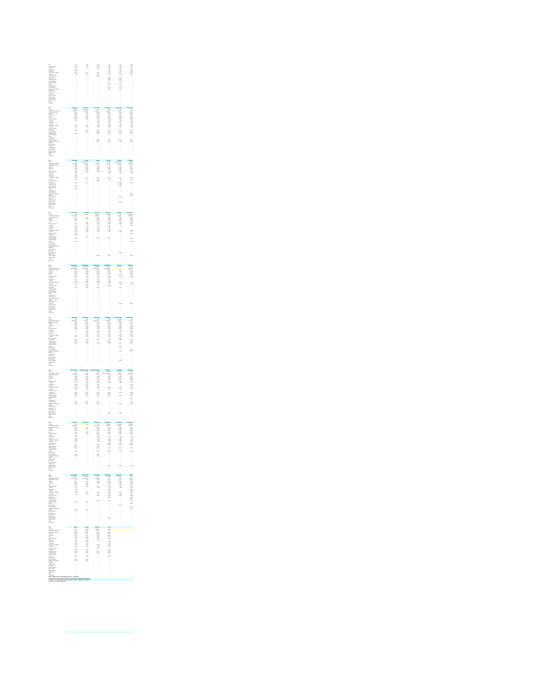| A BRANCA, ENGENHAL LANDRANGA, ENGENHALA, ENGENHALA, ENGENHALA, ENGENHALA, ENGENHALA, ENGENHALA, ENGENHALA, ENG |                                                                                                      |                                                                                                      | المقابضة والتنفيض والمسابقة والمستورة والمنافسين والمستورة والمستورة والمسابق والمسابق والمسابقة والمسابقة والمسابقة | material and constant and an internet and an internet and an international and an international construction of |  |
|----------------------------------------------------------------------------------------------------------------|------------------------------------------------------------------------------------------------------|------------------------------------------------------------------------------------------------------|----------------------------------------------------------------------------------------------------------------------|-----------------------------------------------------------------------------------------------------------------|--|
|                                                                                                                | 1990年,1992年,1992年,1992年,1992年,1992年,1992年,1992年,1992年,1992年,1992年,1992年,1992年,1992年,1992年,1992年,1992 |                                                                                                      |                                                                                                                      |                                                                                                                 |  |
|                                                                                                                |                                                                                                      | 1929年1月,1929年,1929年,1929年,1929年,1929年,1929年,1929年,1929年,1929年,1929年,1929年,1929年,1929年,1929年,1929年,19 | <b>A PARTICIPATION AND A PARTICIPATION AND A PARTICIPATION</b>                                                       |                                                                                                                 |  |

**(\* Based On A Residential Home With A Market Value Of \$100,000. (\*\* Highest = 1 (\*\* Moraine - Previously Deerfield**